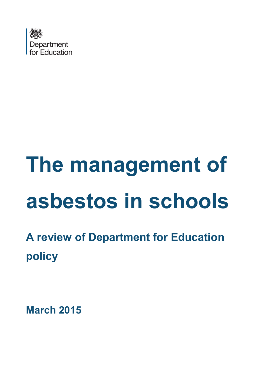

# **The management of asbestos in schools**

**A review of Department for Education policy**

**March 2015**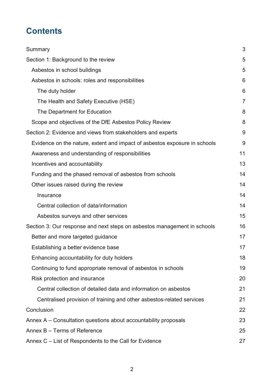# **Contents**

| Summary                                                                   | 3  |
|---------------------------------------------------------------------------|----|
| Section 1: Background to the review                                       | 5  |
| Asbestos in school buildings                                              | 5  |
| Asbestos in schools: roles and responsibilities                           | 6  |
| The duty holder                                                           | 6  |
| The Health and Safety Executive (HSE)                                     | 7  |
| The Department for Education                                              | 8  |
| Scope and objectives of the DfE Asbestos Policy Review                    | 8  |
| Section 2: Evidence and views from stakeholders and experts               | 9  |
| Evidence on the nature, extent and impact of asbestos exposure in schools | 9  |
| Awareness and understanding of responsibilities                           | 11 |
| Incentives and accountability                                             | 13 |
| Funding and the phased removal of asbestos from schools                   | 14 |
| Other issues raised during the review                                     | 14 |
| Insurance                                                                 | 14 |
| Central collection of data/information                                    | 14 |
| Asbestos surveys and other services                                       | 15 |
| Section 3: Our response and next steps on asbestos management in schools  | 16 |
| Better and more targeted guidance                                         | 17 |
| Establishing a better evidence base                                       | 17 |
| Enhancing accountability for duty holders                                 | 18 |
| Continuing to fund appropriate removal of asbestos in schools             | 19 |
| Risk protection and insurance                                             | 20 |
| Central collection of detailed data and information on asbestos           | 21 |
| Centralised provision of training and other asbestos-related services     | 21 |
| Conclusion                                                                | 22 |
| Annex $A -$ Consultation questions about accountability proposals         | 23 |
| Annex B - Terms of Reference                                              | 25 |
| Annex C – List of Respondents to the Call for Evidence                    | 27 |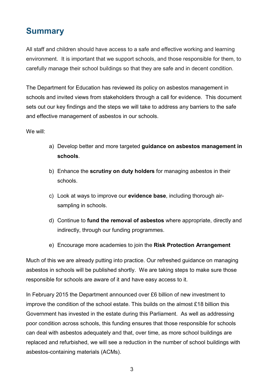### <span id="page-2-0"></span>**Summary**

All staff and children should have access to a safe and effective working and learning environment. It is important that we support schools, and those responsible for them, to carefully manage their school buildings so that they are safe and in decent condition.

The Department for Education has reviewed its policy on asbestos management in schools and invited views from stakeholders through a call for evidence. This document sets out our key findings and the steps we will take to address any barriers to the safe and effective management of asbestos in our schools.

We will:

- a) Develop better and more targeted **guidance on asbestos management in schools**.
- b) Enhance the **scrutiny on duty holders** for managing asbestos in their schools.
- c) Look at ways to improve our **evidence base**, including thorough airsampling in schools.
- d) Continue to **fund the removal of asbestos** where appropriate, directly and indirectly, through our funding programmes.
- e) Encourage more academies to join the **Risk Protection Arrangement**

Much of this we are already putting into practice. Our refreshed guidance on managing asbestos in schools will be published shortly. We are taking steps to make sure those responsible for schools are aware of it and have easy access to it.

In February 2015 the Department announced over £6 billion of new investment to improve the condition of the school estate. This builds on the almost £18 billion this Government has invested in the estate during this Parliament. As well as addressing poor condition across schools, this funding ensures that those responsible for schools can deal with asbestos adequately and that, over time, as more school buildings are replaced and refurbished, we will see a reduction in the number of school buildings with asbestos-containing materials (ACMs).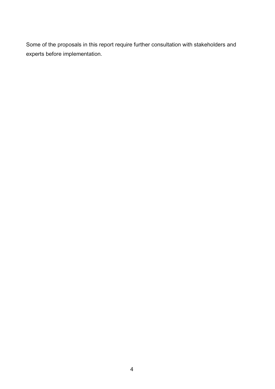Some of the proposals in this report require further consultation with stakeholders and experts before implementation.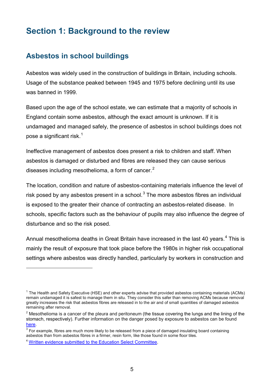### <span id="page-4-0"></span>**Section 1: Background to the review**

### <span id="page-4-1"></span>**Asbestos in school buildings**

Asbestos was widely used in the construction of buildings in Britain, including schools. Usage of the substance peaked between 1945 and 1975 before declining until its use was banned in 1999.

Based upon the age of the school estate, we can estimate that a majority of schools in England contain some asbestos, although the exact amount is unknown. If it is undamaged and managed safely, the presence of asbestos in school buildings does not pose a significant risk. $^1$  $^1$ 

Ineffective management of asbestos does present a risk to children and staff. When asbestos is damaged or disturbed and fibres are released they can cause serious diseases including mesothelioma, a form of cancer. $<sup>2</sup>$  $<sup>2</sup>$  $<sup>2</sup>$ </sup>

The location, condition and nature of asbestos-containing materials influence the level of risk posed by any asbestos present in a school. $3$  The more asbestos fibres an individual is exposed to the greater their chance of contracting an asbestos-related disease. In schools, specific factors such as the behaviour of pupils may also influence the degree of disturbance and so the risk posed.

Annual mesothelioma deaths in Great Britain have increased in the last [4](#page-5-5)0 years.<sup>4</sup> This is mainly the result of exposure that took place before the 1980s in higher risk occupational settings where asbestos was directly handled, particularly by workers in construction and

<sup>1</sup> The Health and Safety Executive (HSE) and other experts advise that provided asbestos containing materials (ACMs) remain undamaged it is safest to manage them in situ. They consider this safer than removing ACMs because removal greatly increases the risk that asbestos fibres are released in to the air and of small quantities of damaged asbestos remaining after removal.

 $2$  Mesothelioma is a cancer of the pleura and peritoneum (the tissue covering the lungs and the lining of the stomach, respectively). Further information on the danger posed by exposure to asbestos can be found [here.](http://www.hse.gov.uk/asbestos/dangerous.htm)

 $3$  For example, fibres are much more likely to be released from a piece of damaged insulating board containing asbestos than from asbestos fibres in a firmer, resin form, like those found in some floor tiles.

<sup>4</sup> [Written evidence submitted to the Education Select Committee.](http://www.publications.parliament.uk/pa/cm201213/cmselect/cmeduc/writev/1056/m5.htm)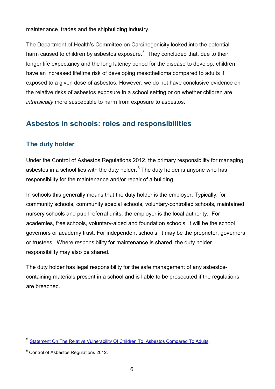maintenance trades and the shipbuilding industry.

The Department of Health's Committee on Carcinogenicity looked into the potential harm caused to children by asbestos exposure.<sup>[5](#page-6-1)</sup> They concluded that, due to their longer life expectancy and the long latency period for the disease to develop, children have an increased lifetime risk of developing mesothelioma compared to adults if exposed to a given dose of asbestos. However, we do not have conclusive evidence on the relative risks of asbestos exposure in a school setting or on whether children are *intrinsically* more susceptible to harm from exposure to asbestos.

### <span id="page-5-0"></span>**Asbestos in schools: roles and responsibilities**

### <span id="page-5-1"></span>**The duty holder**

Under the Control of Asbestos Regulations 2012, the primary responsibility for managing asbestos in a school lies with the duty holder.<sup>[6](#page-6-2)</sup> The duty holder is anyone who has responsibility for the maintenance and/or repair of a building.

In schools this generally means that the duty holder is the employer. Typically, for community schools, community special schools, voluntary-controlled schools, maintained nursery schools and pupil referral units, the employer is the local authority. For academies, free schools, voluntary-aided and foundation schools, it will be the school governors or academy trust. For independent schools, it may be the proprietor, governors or trustees. Where responsibility for maintenance is shared, the duty holder responsibility may also be shared.

<span id="page-5-2"></span>The duty holder has legal responsibility for the safe management of any asbestoscontaining materials present in a school and is liable to be prosecuted if the regulations are breached.

<span id="page-5-5"></span><span id="page-5-4"></span><span id="page-5-3"></span><sup>5</sup> [Statement On The Relative Vulnerability Of Children To Asbestos Compared To Adults.](http://webarchive.nationalarchives.gov.uk/20140506122027/http:/www.iacoc.org.uk/statements/documents/Asbestosinschoolsstatement_000.pdf)

<sup>&</sup>lt;sup>6</sup> Control of Asbestos Regulations 2012.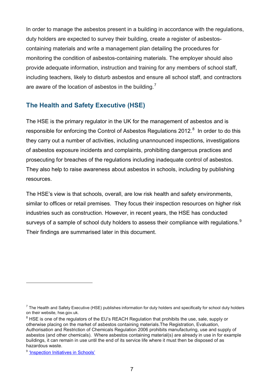In order to manage the asbestos present in a building in accordance with the regulations, duty holders are expected to survey their building, create a register of asbestoscontaining materials and write a management plan detailing the procedures for monitoring the condition of asbestos-containing materials. The employer should also provide adequate information, instruction and training for any members of school staff, including teachers, likely to disturb asbestos and ensure all school staff, and contractors are aware of the location of asbestos in the building.<sup>[7](#page-7-2)</sup>

### <span id="page-6-0"></span>**The Health and Safety Executive (HSE)**

The HSE is the primary regulator in the UK for the management of asbestos and is responsible for enforcing the Control of Asbestos Regulations 2012.<sup>[8](#page-7-3)</sup> In order to do this they carry out a number of activities, including unannounced inspections, investigations of asbestos exposure incidents and complaints, prohibiting dangerous practices and prosecuting for breaches of the regulations including inadequate control of asbestos. They also help to raise awareness about asbestos in schools, including by publishing resources.

The HSE's view is that schools, overall, are low risk health and safety environments, similar to offices or retail premises. They focus their inspection resources on higher risk industries such as construction. However, in recent years, the HSE has conducted surveys of a sample of school duty holders to assess their compliance with regulations.<sup>[9](#page-7-4)</sup> Their findings are summarised later in this document.

l

 $^7$  The Health and Safety Executive (HSE) publishes information for duty holders and specifically for school duty holders on their website, hse.gov.uk.

 $8$  HSE is one of the regulators of the EU's REACH Regulation that prohibits the use, sale, supply or otherwise placing on the market of asbestos containing materials.The Registration, Evaluation, Authorisation and Restriction of Chemicals Regulation 2006 prohibits manufacturing, use and supply of asbestos (and other chemicals). Where asbestos containing material(s) are already in use in for example buildings, it can remain in use until the end of its service life where it must then be disposed of as hazardous waste.

<span id="page-6-2"></span><span id="page-6-1"></span><sup>&</sup>lt;sup>9</sup> 'Inspection Initiatives in Schools'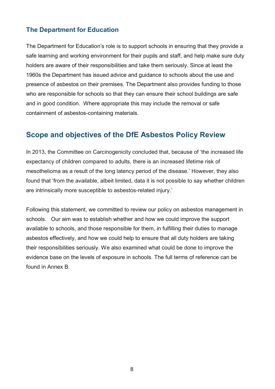### <span id="page-7-0"></span>**The Department for Education**

The Department for Education's role is to support schools in ensuring that they provide a safe learning and working environment for their pupils and staff, and help make sure duty holders are aware of their responsibilities and take them seriously. Since at least the 1960s the Department has issued advice and guidance to schools about the use and presence of asbestos on their premises. The Department also provides funding to those who are responsible for schools so that they can ensure their school buildings are safe and in good condition. Where appropriate this may include the removal or safe containment of asbestos-containing materials.

### <span id="page-7-1"></span>**Scope and objectives of the DfE Asbestos Policy Review**

In 2013, the Committee on Carcinogenicity concluded that, because of 'the increased life expectancy of children compared to adults, there is an increased lifetime risk of mesothelioma as a result of the long latency period of the disease.' However, they also found that 'from the available, albeit limited, data it is not possible to say whether children are intrinsically more susceptible to asbestos-related injury.'

<span id="page-7-4"></span><span id="page-7-3"></span><span id="page-7-2"></span>Following this statement, we committed to review our policy on asbestos management in schools. Our aim was to establish whether and how we could improve the support available to schools, and those responsible for them, in fulfilling their duties to manage asbestos effectively, and how we could help to ensure that all duty holders are taking their responsibilities seriously. We also examined what could be done to improve the evidence base on the levels of exposure in schools. The full terms of reference can be found in Annex B.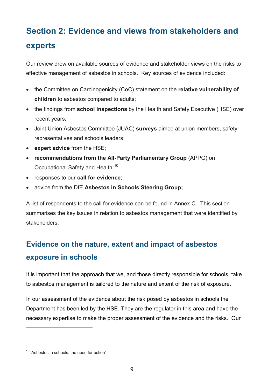# <span id="page-8-0"></span>**Section 2: Evidence and views from stakeholders and experts**

Our review drew on available sources of evidence and stakeholder views on the risks to effective management of asbestos in schools. Key sources of evidence included:

- the Committee on Carcinogenicity (CoC) statement on the **relative vulnerability of children** to asbestos compared to adults;
- the findings from **school inspections** by the Health and Safety Executive (HSE) over recent years;
- Joint Union Asbestos Committee (JUAC) **surveys** aimed at union members, safety representatives and schools leaders;
- **expert advice** from the HSE;
- **recommendations from the All-Party Parliamentary Group** (APPG) on Occupational Safety and Health;<sup>[10](#page-9-0)</sup>
- responses to our **call for evidence;**
- advice from the DfE **Asbestos in Schools Steering Group;**

A list of respondents to the call for evidence can be found in Annex C. This section summarises the key issues in relation to asbestos management that were identified by stakeholders.

# <span id="page-8-1"></span>**Evidence on the nature, extent and impact of asbestos exposure in schools**

It is important that the approach that we, and those directly responsible for schools, take to asbestos management is tailored to the nature and extent of the risk of exposure.

In our assessment of the evidence about the risk posed by asbestos in schools the Department has been led by the HSE. They are the regulator in this area and have the necessary expertise to make the proper assessment of the evidence and the risks. Our

<sup>&</sup>lt;sup>10</sup> 'Asbestos in schools: the need for action'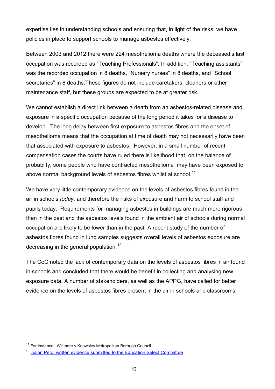expertise lies in understanding schools and ensuring that, in light of the risks, we have policies in place to support schools to manage asbestos effectively.

Between 2003 and 2012 there were 224 mesothelioma deaths where the deceased's last occupation was recorded as "Teaching Professionals". In addition, "Teaching assistants" was the recorded occupation in 8 deaths, "Nursery nurses" in 8 deaths, and "School secretaries" in 8 deaths.These figures do not include caretakers, cleaners or other maintenance staff, but these groups are expected to be at greater risk.

We cannot establish a direct link between a death from an asbestos-related disease and exposure in a specific occupation because of the long period it takes for a disease to develop. The long delay between first exposure to asbestos fibres and the onset of mesothelioma means that the occupation at time of death may not necessarily have been that associated with exposure to asbestos. However, in a small number of recent compensation cases the courts have ruled there is likelihood that, on the balance of probablity, some people who have contracted mesothelioma may have been exposed to above normal background levels of asbestos fibres whilst at school.<sup>[11](#page-10-1)</sup>

We have very little contemporary evidence on the levels of asbestos fibres found in the air in schools *today*, and therefore the risks of exposure and harm to school staff and pupils today. Requirements for managing asbestos in buildings are much more rigorous than in the past and the asbestos levels found in the ambient air of schools during normal occupation are likely to be lower than in the past. A recent study of the number of asbestos fibres found in lung samples suggests overall levels of asbestos exposure are decreasing in the general population.<sup>12</sup>

The CoC noted the lack of contemporary data on the levels of asbestos fibres in air found in schools and concluded that there would be benefit in collecting and analysing new exposure data. A number of stakeholders, as well as the APPG, have called for better evidence on the levels of asbestos fibres present in the air in schools and classrooms.

<sup>&</sup>lt;sup>11</sup> For instance, Willmore v Knowsley Metropolitan Borough Council.

<span id="page-9-0"></span><sup>&</sup>lt;sup>12</sup> [Julian Peto, written evidence submitted to the Education Select Committee](http://www.publications.parliament.uk/pa/cm201213/cmselect/cmeduc/writev/1056/m5.htm)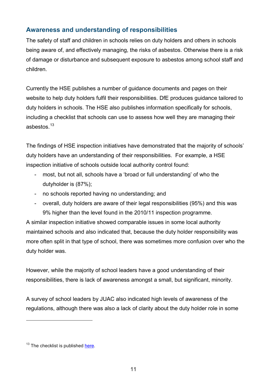### <span id="page-10-0"></span>**Awareness and understanding of responsibilities**

The safety of staff and children in schools relies on duty holders and others in schools being aware of, and effectively managing, the risks of asbestos. Otherwise there is a risk of damage or disturbance and subsequent exposure to asbestos among school staff and children.

Currently the HSE publishes a number of guidance documents and pages on their website to help duty holders fulfil their responsibilities. DfE produces guidance tailored to duty holders in schools. The HSE also publishes information specifically for schools, including a checklist that schools can use to assess how well they are managing their asbestos. [13](#page-11-0)

The findings of HSE inspection initiatives have demonstrated that the majority of schools' duty holders have an understanding of their responsibilities. For example, a HSE inspection initiative of schools outside local authority control found:

- most, but not all, schools have a 'broad or full understanding' of who the dutyholder is (87%);
- no schools reported having no understanding; and
- overall, duty holders are aware of their legal responsibilities (95%) and this was 9% higher than the level found in the 2010/11 inspection programme.

A similar inspection initiative showed comparable issues in some local authority maintained schools and also indicated that, because the duty holder responsibility was more often split in that type of school, there was sometimes more confusion over who the duty holder was.

However, while the majority of school leaders have a good understanding of their responsibilities, there is lack of awareness amongst a small, but significant, minority.

A survey of school leaders by JUAC also indicated high levels of awareness of the regulations, although there was also a lack of clarity about the duty holder role in some

<span id="page-10-2"></span><span id="page-10-1"></span><sup>&</sup>lt;sup>13</sup> The checklist is published [here.](http://www.hse.gov.uk/services/education/asbestos-checklist.pdf)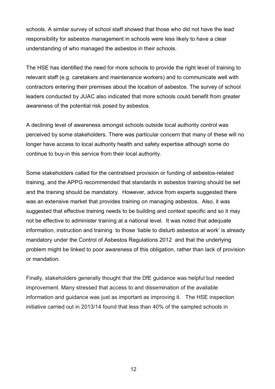schools. A similar survey of school staff showed that those who did not have the lead responsibility for asbestos management in schools were less likely to have a clear understanding of who managed the asbestos in their schools.

The HSE has identified the need for more schools to provide the right level of training to relevant staff (e.g. caretakers and maintenance workers) and to communicate well with contractors entering their premises about the location of asbestos. The survey of school leaders conducted by JUAC also indicated that more schools could benefit from greater awareness of the potential risk posed by asbestos.

A declining level of awareness amongst schools outside local authority control was perceived by some stakeholders. There was particular concern that many of these will no longer have access to local authority health and safety expertise although some do continue to buy-in this service from their local authority.

Some stakeholders called for the centralised provision or funding of asbestos-related training, and the APPG recommended that standards in asbestos training should be set and the training should be mandatory. However, advice from experts suggested there was an extensive market that provides training on managing asbestos. Also, it was suggested that effective training needs to be building and context specific and so it may not be effective to administer training at a national level. It was noted that adequate information, instruction and training to those 'liable to disturb asbestos at work' is already mandatory under the Control of Asbestos Regulations 2012 and that the underlying problem might be linked to poor awareness of this obligation, rather than lack of provision or mandation.

<span id="page-11-0"></span>Finally, stakeholders generally thought that the DfE guidance was helpful but needed improvement. Many stressed that access to and dissemination of the available information and guidance was just as important as improving it. The HSE inspection initiative carried out in 2013/14 found that less than 40% of the sampled schools in

12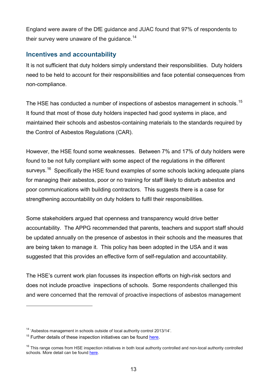England were aware of the DfE guidance and JUAC found that 97% of respondents to their survey were unaware of the guidance.<sup>[14](#page-13-4)</sup>

### <span id="page-12-0"></span>**Incentives and accountability**

It is not sufficient that duty holders simply understand their responsibilities. Duty holders need to be held to account for their responsibilities and face potential consequences from non-compliance.

The HSE has conducted a number of inspections of asbestos management in schools.<sup>15</sup> It found that most of those duty holders inspected had good systems in place, and maintained their schools and asbestos-containing materials to the standards required by the Control of Asbestos Regulations (CAR).

However, the HSE found some weaknesses. Between 7% and 17% of duty holders were found to be not fully compliant with some aspect of the regulations in the different surveys.<sup>16</sup> Specifically the HSE found examples of some schools lacking adequate plans for managing their asbestos, poor or no training for staff likely to disturb asbestos and poor communications with building contractors. This suggests there is a case for strengthening accountability on duty holders to fulfil their responsibilities.

Some stakeholders argued that openness and transparency would drive better accountability. The APPG recommended that parents, teachers and support staff should be updated annually on the presence of asbestos in their schools and the measures that are being taken to manage it. This policy has been adopted in the USA and it was suggested that this provides an effective form of self-regulation and accountability.

The HSE's current work plan focusses its inspection efforts on high-risk sectors and does not include proactive inspections of schools. Some respondents challenged this and were concerned that the removal of proactive inspections of asbestos management

<sup>14 &#</sup>x27;Asbestos management in schools outside of local authority control 2013/14'.

 $15$  Further details of these inspection initiatives can be found [here.](http://www.hse.gov.uk/services/education/asbestos.htm)

 $16$  This range comes from HSE inspection initiatives in both local authority controlled and non-local authority controlled schools. More detail can be found [here.](http://www.hse.gov.uk/services/education/asbestos.htm)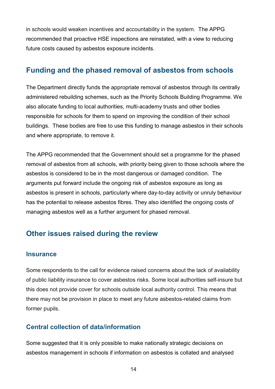in schools would weaken incentives and accountability in the system. The APPG recommended that proactive HSE inspections are reinstated, with a view to reducing future costs caused by asbestos exposure incidents.

### <span id="page-13-0"></span>**Funding and the phased removal of asbestos from schools**

The Department directly funds the appropriate removal of asbestos through its centrally administered rebuilding schemes, such as the Priority Schools Building Programme. We also allocate funding to local authorities, multi-academy trusts and other bodies responsible for schools for them to spend on improving the condition of their school buildings. These bodies are free to use this funding to manage asbestos in their schools and where appropriate, to remove it.

The APPG recommended that the Government should set a programme for the phased removal of asbestos from all schools, with priority being given to those schools where the asbestos is considered to be in the most dangerous or damaged condition. The arguments put forward include the ongoing risk of asbestos exposure as long as asbestos is present in schools, particularly where day-to-day activity or unruly behaviour has the potential to release asbestos fibres. They also identified the ongoing costs of managing asbestos well as a further argument for phased removal.

### <span id="page-13-1"></span>**Other issues raised during the review**

#### <span id="page-13-2"></span>**Insurance**

Some respondents to the call for evidence raised concerns about the lack of availability of public liability insurance to cover asbestos risks. Some local authorities self-insure but this does not provide cover for schools outside local authority control. This means that there may not be provision in place to meet any future asbestos-related claims from former pupils.

### <span id="page-13-4"></span><span id="page-13-3"></span>**Central collection of data/information**

<span id="page-13-6"></span><span id="page-13-5"></span>Some suggested that it is only possible to make nationally strategic decisions on asbestos management in schools if information on asbestos is collated and analysed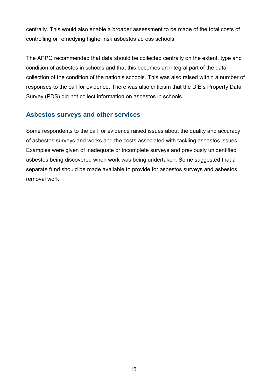centrally. This would also enable a broader assessment to be made of the total costs of controlling or remedying higher risk asbestos across schools.

The APPG recommended that data should be collected centrally on the extent, type and condition of asbestos in schools and that this becomes an integral part of the data collection of the condition of the nation's schools. This was also raised within a number of responses to the call for evidence. There was also criticism that the DfE's Property Data Survey (PDS) did not collect information on asbestos in schools.

### <span id="page-14-0"></span>**Asbestos surveys and other services**

Some respondents to the call for evidence raised issues about the quality and accuracy of asbestos surveys and works and the costs associated with tackling asbestos issues. Examples were given of inadequate or incomplete surveys and previously unidentified asbestos being discovered when work was being undertaken. Some suggested that a separate fund should be made available to provide for asbestos surveys and asbestos removal work.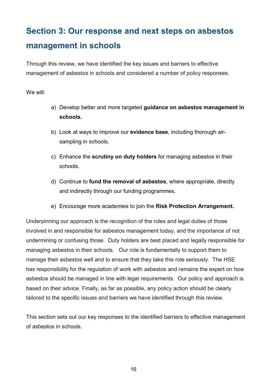# <span id="page-15-0"></span>**Section 3: Our response and next steps on asbestos management in schools**

Through this review, we have identified the key issues and barriers to effective management of asbestos in schools and considered a number of policy responses.

We will:

- a) Develop better and more targeted **guidance on asbestos management in schools.**
- b) Look at ways to improve our **evidence base**, including thorough airsampling in schools.
- c) Enhance the **scrutiny on duty holders** for managing asbestos in their schools.
- d) Continue to **fund the removal of asbestos**, where appropriate, directly and indirectly through our funding programmes.
- e) Encourage more academies to join the **Risk Protection Arrangement.**

Underpinning our approach is the recognition of the roles and legal duties of those involved in and responsible for asbestos management today, and the importance of not undermining or confusing those. Duty holders are best placed and legally responsible for managing asbestos in their schools. Our role is fundamentally to support them to manage their asbestos well and to ensure that they take this role seriously. The HSE has responsibility for the regulation of work with asbestos and remains the expert on how asbestos should be managed in line with legal requirements. Our policy and approach is based on their advice. Finally, as far as possible, any policy action should be clearly tailored to the specific issues and barriers we have identified through this review.

This section sets out our key responses to the identified barriers to effective management of asbestos in schools.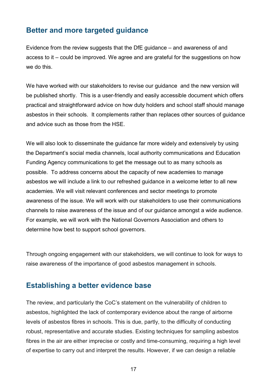### <span id="page-16-0"></span>**Better and more targeted guidance**

Evidence from the review suggests that the DfE guidance – and awareness of and access to it – could be improved. We agree and are grateful for the suggestions on how we do this.

We have worked with our stakeholders to revise our guidance and the new version will be published shortly. This is a user-friendly and easily accessible document which offers practical and straightforward advice on how duty holders and school staff should manage asbestos in their schools. It complements rather than replaces other sources of guidance and advice such as those from the HSE.

We will also look to disseminate the guidance far more widely and extensively by using the Department's social media channels, local authority communications and Education Funding Agency communications to get the message out to as many schools as possible. To address concerns about the capacity of new academies to manage asbestos we will include a link to our refreshed guidance in a welcome letter to all new academies. We will visit relevant conferences and sector meetings to promote awareness of the issue. We will work with our stakeholders to use their communications channels to raise awareness of the issue and of our guidance amongst a wide audience. For example, we will work with the National Governors Association and others to determine how best to support school governors.

Through ongoing engagement with our stakeholders, we will continue to look for ways to raise awareness of the importance of good asbestos management in schools.

### <span id="page-16-1"></span>**Establishing a better evidence base**

The review, and particularly the CoC's statement on the vulnerability of children to asbestos, highlighted the lack of contemporary evidence about the range of airborne levels of asbestos fibres in schools. This is due, partly, to the difficulty of conducting robust, representative and accurate studies. Existing techniques for sampling asbestos fibres in the air are either imprecise or costly and time-consuming, requiring a high level of expertise to carry out and interpret the results. However, if we can design a reliable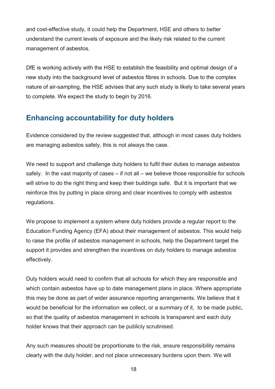and cost-effective study, it could help the Department, HSE and others to better understand the current levels of exposure and the likely risk related to the current management of asbestos.

DfE is working actively with the HSE to establish the feasibility and optimal design of a new study into the background level of asbestos fibres in schools. Due to the complex nature of air-sampling, the HSE advises that any such study is likely to take several years to complete. We expect the study to begin by 2016.

### <span id="page-17-0"></span>**Enhancing accountability for duty holders**

Evidence considered by the review suggested that, although in most cases duty holders are managing asbestos safely, this is not always the case.

We need to support and challenge duty holders to fulfil their duties to manage asbestos safely. In the vast majority of cases – if not all – we believe those responsible for schools will strive to do the right thing and keep their buildings safe. But it is important that we reinforce this by putting in place strong and clear incentives to comply with asbestos regulations.

We propose to implement a system where duty holders provide a regular report to the Education Funding Agency (EFA) about their management of asbestos. This would help to raise the profile of asbestos management in schools, help the Department target the support it provides and strengthen the incentives on duty holders to manage asbestos effectively.

Duty holders would need to confirm that all schools for which they are responsible and which contain asbestos have up to date management plans in place. Where appropriate this may be done as part of wider assurance reporting arrangements. We believe that it would be beneficial for the information we collect, or a summary of it, to be made public, so that the quality of asbestos management in schools is transparent and each duty holder knows that their approach can be publicly scrutinised.

Any such measures should be proportionate to the risk, ensure responsibility remains clearly with the duty holder, and not place unnecessary burdens upon them. We will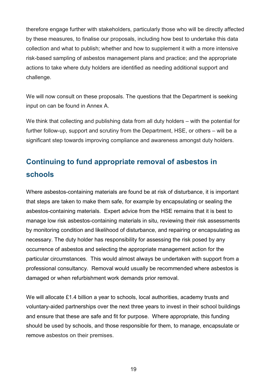therefore engage further with stakeholders, particularly those who will be directly affected by these measures, to finalise our proposals, including how best to undertake this data collection and what to publish; whether and how to supplement it with a more intensive risk-based sampling of asbestos management plans and practice; and the appropriate actions to take where duty holders are identified as needing additional support and challenge.

We will now consult on these proposals. The questions that the Department is seeking input on can be found in Annex A.

We think that collecting and publishing data from all duty holders – with the potential for further follow-up, support and scrutiny from the Department, HSE, or others – will be a significant step towards improving compliance and awareness amongst duty holders.

# <span id="page-18-0"></span>**Continuing to fund appropriate removal of asbestos in schools**

Where asbestos-containing materials are found be at risk of disturbance, it is important that steps are taken to make them safe, for example by encapsulating or sealing the asbestos-containing materials. Expert advice from the HSE remains that it is best to manage low risk asbestos-containing materials in situ, reviewing their risk assessments by monitoring condition and likelihood of disturbance, and repairing or encapsulating as necessary. The duty holder has responsibility for assessing the risk posed by any occurrence of asbestos and selecting the appropriate management action for the particular circumstances. This would almost always be undertaken with support from a professional consultancy. Removal would usually be recommended where asbestos is damaged or when refurbishment work demands prior removal.

We will allocate £1.4 billion a year to schools, local authorities, academy trusts and voluntary-aided partnerships over the next three years to invest in their school buildings and ensure that these are safe and fit for purpose. Where appropriate, this funding should be used by schools, and those responsible for them, to manage, encapsulate or remove asbestos on their premises.

19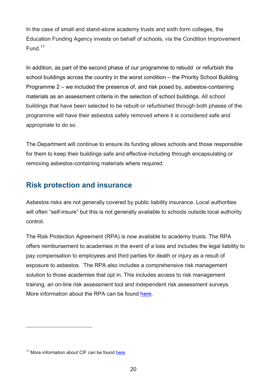In the case of small and stand-alone academy trusts and sixth form colleges, the Education Funding Agency invests on behalf of schools, via the Condition Improvement Fund.<sup>17</sup>

In addition, as part of the second phase of our programme to rebuild or refurbish the school buildings across the country in the worst condition – the Priority School Building Programme 2 – we included the presence of, and risk posed by, asbestos-containing materials as an assessment criteria in the selection of school buildings. All school buildings that have been selected to be rebuilt or refurbished through both phases of the programme will have their asbestos safely removed where it is considered safe and appropriate to do so.

The Department will continue to ensure its funding allows schools and those responsible for them to keep their buildings safe and effective including through encapsulating or removing asbestos-containing materials where required.

### <span id="page-19-0"></span>**Risk protection and insurance**

Asbestos risks are not generally covered by public liability insurance. Local authorities will often "self-insure" but this is not generally available to schools outside local authority control.

The Risk Protection Agreement (RPA) is now available to academy trusts. The RPA offers reimbursement to academies in the event of a loss and includes the legal liability to pay compensation to employees and third parties for death or injury as a result of exposure to asbestos. The RPA also includes a comprehensive risk management solution to those academies that opt in. This includes access to risk management training, an on-line risk assessment tool and independent risk assessment surveys. More information about the RPA can be found [here.](https://www.gov.uk/academies-risk-protection-arrangement-rpa.)

<sup>&</sup>lt;sup>17</sup> More information about CIF can be found [here.](https://www.gov.uk/condition-improvement-fund)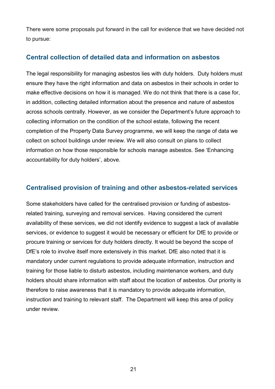There were some proposals put forward in the call for evidence that we have decided not to pursue:

### <span id="page-20-0"></span>**Central collection of detailed data and information on asbestos**

The legal responsibility for managing asbestos lies with duty holders. Duty holders must ensure they have the right information and data on asbestos in their schools in order to make effective decisions on how it is managed. We do not think that there is a case for, in addition, collecting detailed information about the presence and nature of asbestos across schools centrally. However, as we consider the Department's future approach to collecting information on the condition of the school estate, following the recent completion of the Property Data Survey programme, we will keep the range of data we collect on school buildings under review. We will also consult on plans to collect information on how those responsible for schools manage asbestos. See 'Enhancing accountability for duty holders', above.

### <span id="page-20-1"></span>**Centralised provision of training and other asbestos-related services**

<span id="page-20-2"></span>Some stakeholders have called for the centralised provision or funding of asbestosrelated training, surveying and removal services. Having considered the current availability of these services, we did not identify evidence to suggest a lack of available services, or evidence to suggest it would be necessary or efficient for DfE to provide or procure training or services for duty holders directly. It would be beyond the scope of DfE's role to involve itself more extensively in this market. DfE also noted that it is mandatory under current regulations to provide adequate information, instruction and training for those liable to disturb asbestos, including maintenance workers, and duty holders should share information with staff about the location of asbestos. Our priority is therefore to raise awareness that it is mandatory to provide adequate information, instruction and training to relevant staff. The Department will keep this area of policy under review.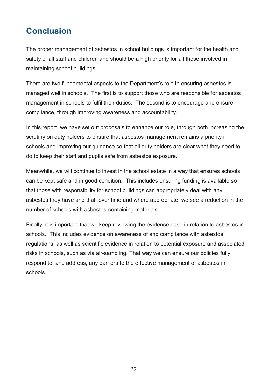### <span id="page-21-0"></span>**Conclusion**

The proper management of asbestos in school buildings is important for the health and safety of all staff and children and should be a high priority for all those involved in maintaining school buildings.

There are two fundamental aspects to the Department's role in ensuring asbestos is managed well in schools. The first is to support those who are responsible for asbestos management in schools to fulfil their duties. The second is to encourage and ensure compliance, through improving awareness and accountability.

In this report, we have set out proposals to enhance our role, through both increasing the scrutiny on duty holders to ensure that asbestos management remains a priority in schools and improving our guidance so that all duty holders are clear what they need to do to keep their staff and pupils safe from asbestos exposure.

Meanwhile, we will continue to invest in the school estate in a way that ensures schools can be kept safe and in good condition. This includes ensuring funding is available so that those with responsibility for school buildings can appropriately deal with any asbestos they have and that, over time and where appropriate, we see a reduction in the number of schools with asbestos-containing materials.

Finally, it is important that we keep reviewing the evidence base in relation to asbestos in schools. This includes evidence on awareness of and compliance with asbestos regulations, as well as scientific evidence in relation to potential exposure and associated risks in schools, such as via air-sampling. That way we can ensure our policies fully respond to, and address, any barriers to the effective management of asbestos in schools.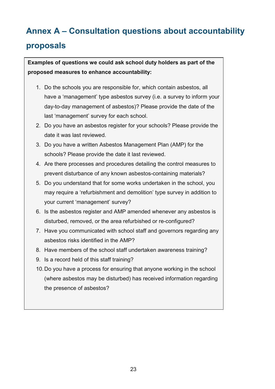# <span id="page-22-0"></span>**Annex A – Consultation questions about accountability proposals**

**Examples of questions we could ask school duty holders as part of the proposed measures to enhance accountability:** 

- 1. Do the schools you are responsible for, which contain asbestos, all have a 'management' type asbestos survey (i.e. a survey to inform your day-to-day management of asbestos)? Please provide the date of the last 'management' survey for each school.
- 2. Do you have an asbestos register for your schools? Please provide the date it was last reviewed.
- 3. Do you have a written Asbestos Management Plan (AMP) for the schools? Please provide the date it last reviewed.
- 4. Are there processes and procedures detailing the control measures to prevent disturbance of any known asbestos-containing materials?
- 5. Do you understand that for some works undertaken in the school, you may require a 'refurbishment and demolition' type survey in addition to your current 'management' survey?
- 6. Is the asbestos register and AMP amended whenever any asbestos is disturbed, removed, or the area refurbished or re-configured?
- 7. Have you communicated with school staff and governors regarding any asbestos risks identified in the AMP?
- 8. Have members of the school staff undertaken awareness training?
- 9. Is a record held of this staff training?
- 10.Do you have a process for ensuring that anyone working in the school (where asbestos may be disturbed) has received information regarding the presence of asbestos?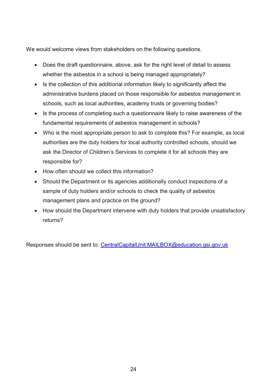We would welcome views from stakeholders on the following questions.

- Does the draft questionnaire, above, ask for the right level of detail to assess whether the asbestos in a school is being managed appropriately?
- Is the collection of this additional information likely to significantly affect the administrative burdens placed on those responsible for asbestos management in schools, such as local authorities, academy trusts or governing bodies?
- Is the process of completing such a questionnaire likely to raise awareness of the fundamental requirements of asbestos management in schools?
- Who is the most appropriate person to ask to complete this? For example, as local authorities are the duty holders for local authority controlled schools, should we ask the Director of Children's Services to complete it for all schools they are responsible for?
- How often should we collect this information?
- Should the Department or its agencies additionally conduct inspections of a sample of duty holders and/or schools to check the quality of asbestos management plans and practice on the ground?
- How should the Department intervene with duty holders that provide unsatisfactory returns?

Responses should be sent to: [CentralCapitalUnit.MAILBOX@education.gsi.gov.uk](mailto:CentralCapitalUnit.MAILBOX@education.gsi.gov.uk)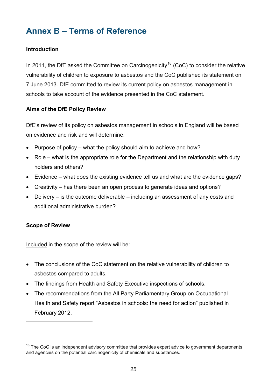# <span id="page-24-0"></span>**Annex B – Terms of Reference**

### **Introduction**

In 2011, the DfE asked the Committee on Carcinogenicity<sup>[18](#page-25-0)</sup> (CoC) to consider the relative vulnerability of children to exposure to asbestos and the CoC published its statement on 7 June 2013. DfE committed to review its current policy on asbestos management in schools to take account of the evidence presented in the CoC statement.

### **Aims of the DfE Policy Review**

DfE's review of its policy on asbestos management in schools in England will be based on evidence and risk and will determine:

- Purpose of policy what the policy should aim to achieve and how?
- Role what is the appropriate role for the Department and the relationship with duty holders and others?
- Evidence what does the existing evidence tell us and what are the evidence gaps?
- Creativity has there been an open process to generate ideas and options?
- Delivery is the outcome deliverable including an assessment of any costs and additional administrative burden?

#### **Scope of Review**

 $\overline{a}$ 

Included in the scope of the review will be:

- The conclusions of the CoC statement on the relative vulnerability of children to asbestos compared to adults.
- The findings from Health and Safety Executive inspections of schools.
- The recommendations from the All Party Parliamentary Group on Occupational Health and Safety report "Asbestos in schools: the need for action" published in February 2012.

 $18$  The CoC is an independent advisory committee that provides expert advice to government departments and agencies on the potential carcinogenicity of chemicals and substances.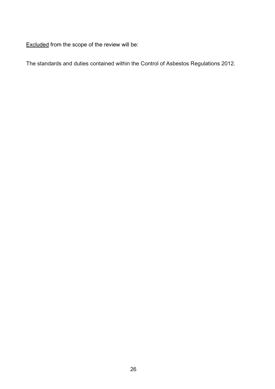Excluded from the scope of the review will be:

<span id="page-25-0"></span>The standards and duties contained within the Control of Asbestos Regulations 2012.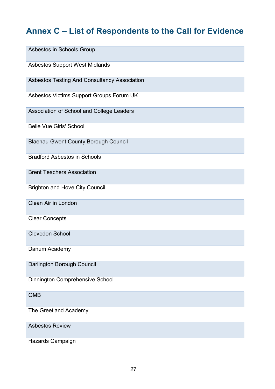# <span id="page-26-0"></span>**Annex C – List of Respondents to the Call for Evidence**

| Asbestos in Schools Group                    |
|----------------------------------------------|
| Asbestos Support West Midlands               |
| Asbestos Testing And Consultancy Association |
| Asbestos Victims Support Groups Forum UK     |
| Association of School and College Leaders    |
| <b>Belle Vue Girls' School</b>               |
| <b>Blaenau Gwent County Borough Council</b>  |
| <b>Bradford Asbestos in Schools</b>          |
| <b>Brent Teachers Association</b>            |
| <b>Brighton and Hove City Council</b>        |
| Clean Air in London                          |
| <b>Clear Concepts</b>                        |
| <b>Clevedon School</b>                       |
| Danum Academy                                |
| Darlington Borough Council                   |
| Dinnington Comprehensive School              |
| <b>GMB</b>                                   |
| The Greetland Academy                        |
| <b>Asbestos Review</b>                       |
| Hazards Campaign                             |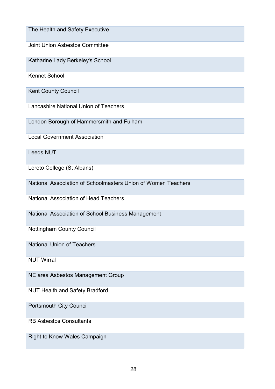The Health and Safety Executive

Joint Union Asbestos Committee

Katharine Lady Berkeley's School

Kennet School

Kent County Council

Lancashire National Union of Teachers

London Borough of Hammersmith and Fulham

Local Government Association

Leeds NUT

Loreto College (St Albans)

National Association of Schoolmasters Union of Women Teachers

National Association of Head Teachers

National Association of School Business Management

Nottingham County Council

National Union of Teachers

NUT Wirral

NE area Asbestos Management Group

NUT Health and Safety Bradford

Portsmouth City Council

RB Asbestos Consultants

Right to Know Wales Campaign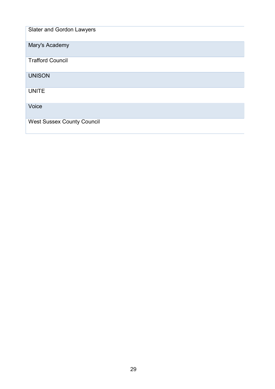| Slater and Gordon Lawyers         |
|-----------------------------------|
| Mary's Academy                    |
| <b>Trafford Council</b>           |
| <b>UNISON</b>                     |
| <b>UNITE</b>                      |
| Voice                             |
| <b>West Sussex County Council</b> |